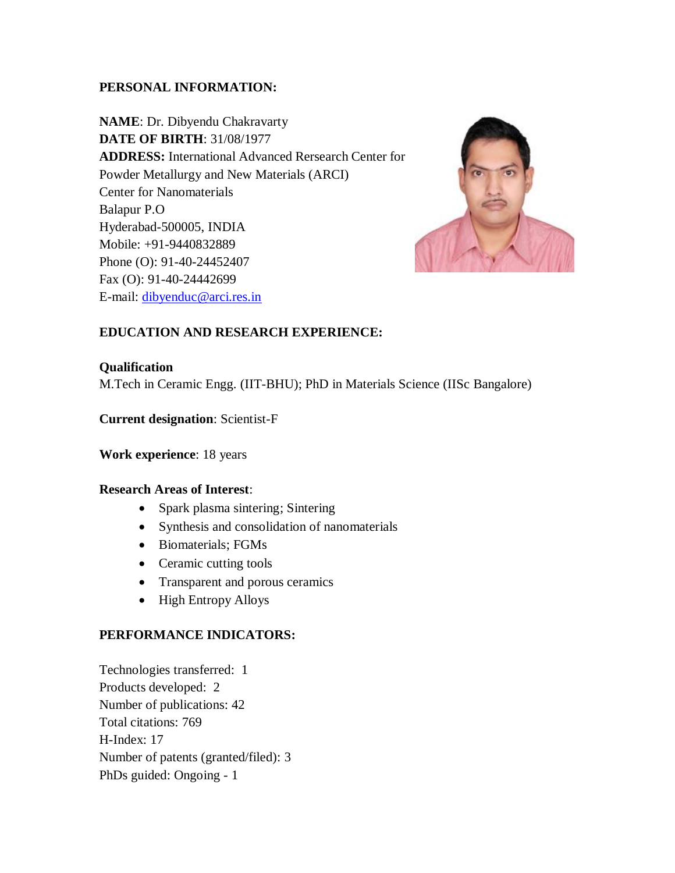### **PERSONAL INFORMATION:**

**NAME**: Dr. Dibyendu Chakravarty **DATE OF BIRTH**: 31/08/1977 **ADDRESS:** International Advanced Rersearch Center for Powder Metallurgy and New Materials (ARCI) Center for Nanomaterials Balapur P.O Hyderabad-500005, INDIA Mobile: +91-9440832889 Phone (O): 91-40-24452407 Fax (O): 91-40-24442699 E-mail: [dibyenduc@arci.res.in](mailto:dibyenduc@arci.res.in)



# **EDUCATION AND RESEARCH EXPERIENCE:**

#### **Qualification**

M.Tech in Ceramic Engg. (IIT-BHU); PhD in Materials Science (IISc Bangalore)

### **Current designation**: Scientist-F

**Work experience**: 18 years

#### **Research Areas of Interest**:

- Spark plasma sintering; Sintering
- Synthesis and consolidation of nanomaterials
- Biomaterials; FGMs
- Ceramic cutting tools
- Transparent and porous ceramics
- High Entropy Alloys

#### **PERFORMANCE INDICATORS:**

Technologies transferred: 1 Products developed: 2 Number of publications: 42 Total citations: 769 H-Index: 17 Number of patents (granted/filed): 3 PhDs guided: Ongoing - 1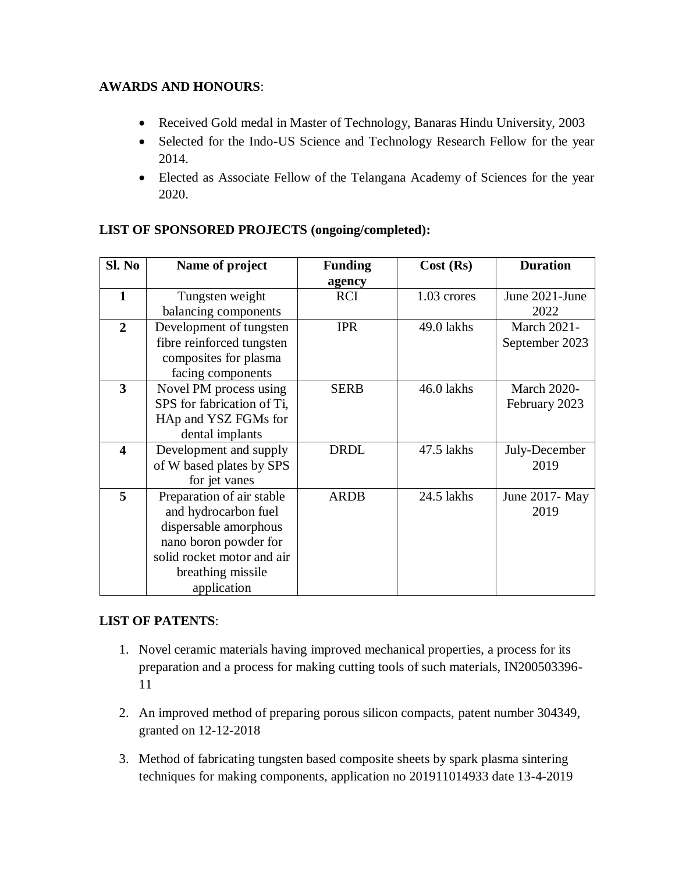## **AWARDS AND HONOURS**:

- Received Gold medal in Master of Technology, Banaras Hindu University, 2003
- Selected for the Indo-US Science and Technology Research Fellow for the year 2014.
- Elected as Associate Fellow of the Telangana Academy of Sciences for the year 2020.

| Sl. No                  | Name of project            | <b>Funding</b> | Cost (Rs)   | <b>Duration</b>    |
|-------------------------|----------------------------|----------------|-------------|--------------------|
|                         |                            | agency         |             |                    |
| $\mathbf{1}$            | Tungsten weight            | <b>RCI</b>     | 1.03 crores | June 2021-June     |
|                         | balancing components       |                |             | 2022               |
| $\overline{2}$          | Development of tungsten    | <b>IPR</b>     | 49.0 lakhs  | <b>March 2021-</b> |
|                         | fibre reinforced tungsten  |                |             | September 2023     |
|                         | composites for plasma      |                |             |                    |
|                         | facing components          |                |             |                    |
| $\overline{\mathbf{3}}$ | Novel PM process using     | <b>SERB</b>    | 46.0 lakhs  | <b>March 2020-</b> |
|                         | SPS for fabrication of Ti, |                |             | February 2023      |
|                         | HAp and YSZ FGMs for       |                |             |                    |
|                         | dental implants            |                |             |                    |
| $\overline{\mathbf{4}}$ | Development and supply     | <b>DRDL</b>    | 47.5 lakhs  | July-December      |
|                         | of W based plates by SPS   |                |             | 2019               |
|                         | for jet vanes              |                |             |                    |
| 5                       | Preparation of air stable  | <b>ARDB</b>    | 24.5 lakhs  | June 2017 - May    |
|                         | and hydrocarbon fuel       |                |             | 2019               |
|                         | dispersable amorphous      |                |             |                    |
|                         | nano boron powder for      |                |             |                    |
|                         | solid rocket motor and air |                |             |                    |
|                         | breathing missile          |                |             |                    |
|                         | application                |                |             |                    |

# **LIST OF SPONSORED PROJECTS (ongoing/completed):**

# **LIST OF PATENTS**:

- 1. Novel ceramic materials having improved mechanical properties, a process for its preparation and a process for making cutting tools of such materials, IN200503396- 11
- 2. An improved method of preparing porous silicon compacts, patent number 304349, granted on 12-12-2018
- 3. Method of fabricating tungsten based composite sheets by spark plasma sintering techniques for making components, application no 201911014933 date 13-4-2019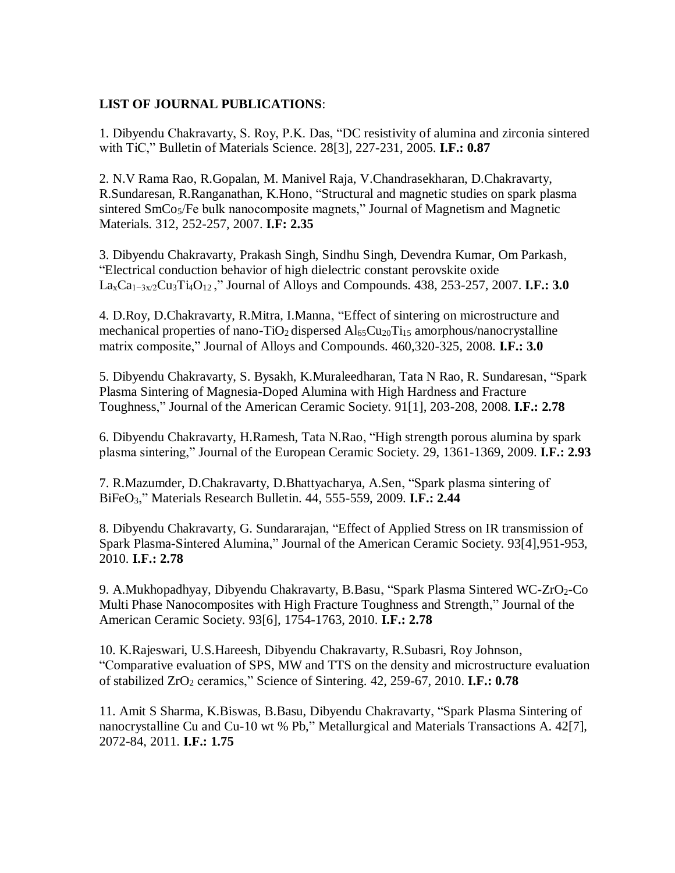#### **LIST OF JOURNAL PUBLICATIONS**:

1. Dibyendu Chakravarty, S. Roy, P.K. Das, "DC resistivity of alumina and zirconia sintered with TiC," Bulletin of Materials Science. 28[3], 227-231, 2005. **I.F.: 0.87**

2. N.V Rama Rao, R.Gopalan, M. Manivel Raja, V.Chandrasekharan, D.Chakravarty, R.Sundaresan, R.Ranganathan, K.Hono, "Structural and magnetic studies on spark plasma sintered SmCo<sub>5</sub>/Fe bulk nanocomposite magnets," Journal of Magnetism and Magnetic Materials. 312, 252-257, 2007. **I.F: 2.35**

3. Dibyendu Chakravarty, Prakash Singh, Sindhu Singh, Devendra Kumar, Om Parkash, "Electrical conduction behavior of high dielectric constant perovskite oxide LaxCa1−3x/2Cu3Ti4O<sup>12</sup> ," Journal of Alloys and Compounds. 438, 253-257, 2007. **I.F.: 3.0**

4. D.Roy, D.Chakravarty, R.Mitra, I.Manna, "Effect of sintering on microstructure and mechanical properties of nano-TiO<sub>2</sub> dispersed  $Al<sub>65</sub>Cu<sub>20</sub>Ti<sub>15</sub>$  amorphous/nanocrystalline matrix composite," Journal of Alloys and Compounds. 460,320-325, 2008. **I.F.: 3.0**

5. Dibyendu Chakravarty, S. Bysakh, K.Muraleedharan, Tata N Rao, R. Sundaresan, "Spark Plasma Sintering of Magnesia-Doped Alumina with High Hardness and Fracture Toughness," Journal of the American Ceramic Society. 91[1], 203-208, 2008. **I.F.: 2.78**

6. Dibyendu Chakravarty, H.Ramesh, Tata N.Rao, "High strength porous alumina by spark plasma sintering," Journal of the European Ceramic Society. 29, 1361-1369, 2009. **I.F.: 2.93**

7. R.Mazumder, D.Chakravarty, D.Bhattyacharya, A.Sen, "Spark plasma sintering of BiFeO3," Materials Research Bulletin. 44, 555-559, 2009. **I.F.: 2.44**

8. Dibyendu Chakravarty, G. Sundararajan, "Effect of Applied Stress on IR transmission of Spark Plasma-Sintered Alumina," Journal of the American Ceramic Society. 93[4],951-953, 2010. **I.F.: 2.78**

9. A.Mukhopadhyay, Dibyendu Chakravarty, B.Basu, "Spark Plasma Sintered WC-ZrO<sub>2</sub>-Co Multi Phase Nanocomposites with High Fracture Toughness and Strength," Journal of the American Ceramic Society. 93[6], 1754-1763, 2010. **I.F.: 2.78**

10. K.Rajeswari, U.S.Hareesh, Dibyendu Chakravarty, R.Subasri, Roy Johnson, "Comparative evaluation of SPS, MW and TTS on the density and microstructure evaluation of stabilized ZrO<sup>2</sup> ceramics," Science of Sintering. 42, 259-67, 2010. **I.F.: 0.78**

11. Amit S Sharma, K.Biswas, B.Basu, Dibyendu Chakravarty, "Spark Plasma Sintering of nanocrystalline Cu and Cu-10 wt % Pb," Metallurgical and Materials Transactions A. 42[7], 2072-84, 2011. **I.F.: 1.75**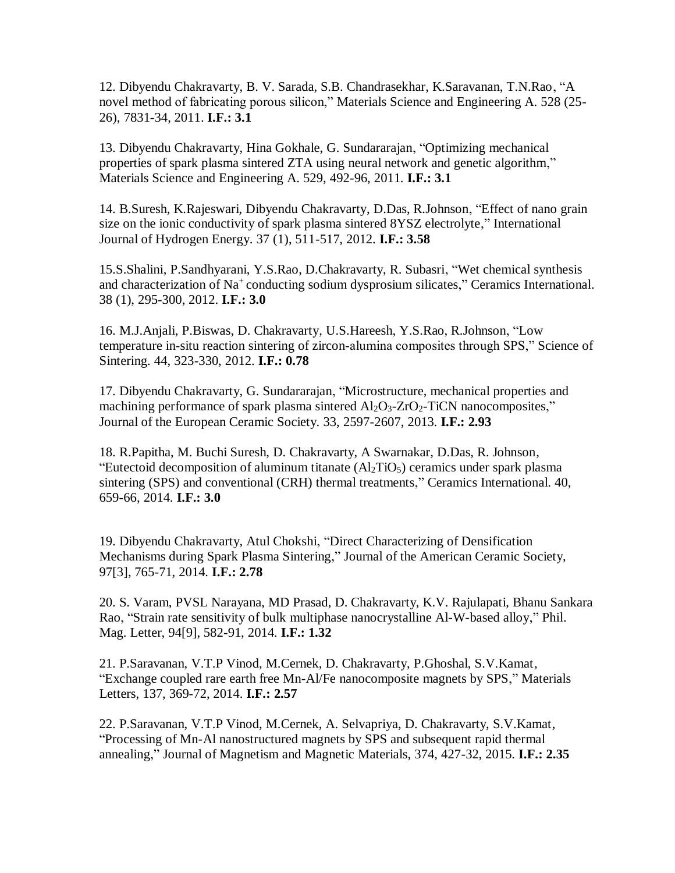12. Dibyendu Chakravarty, B. V. Sarada, S.B. Chandrasekhar, K.Saravanan, T.N.Rao, "A novel method of fabricating porous silicon," Materials Science and Engineering A. 528 (25- 26), 7831-34, 2011. **I.F.: 3.1**

13. Dibyendu Chakravarty, Hina Gokhale, G. Sundararajan, "Optimizing mechanical properties of spark plasma sintered ZTA using neural network and genetic algorithm," Materials Science and Engineering A. 529, 492-96, 2011. **I.F.: 3.1**

14. B.Suresh, K.Rajeswari, Dibyendu Chakravarty, D.Das, R.Johnson, "Effect of nano grain size on the ionic conductivity of spark plasma sintered 8YSZ electrolyte," International Journal of Hydrogen Energy. 37 (1), 511-517, 2012. **I.F.: 3.58**

15.S.Shalini, P.Sandhyarani, Y.S.Rao, D.Chakravarty, R. Subasri, "Wet chemical synthesis and characterization of Na<sup>+</sup> conducting sodium dysprosium silicates," Ceramics International. 38 (1), 295-300, 2012. **I.F.: 3.0**

16. M.J.Anjali, P.Biswas, D. Chakravarty, U.S.Hareesh, Y.S.Rao, R.Johnson, "Low temperature in-situ reaction sintering of zircon-alumina composites through SPS," Science of Sintering. 44, 323-330, 2012. **I.F.: 0.78**

17. Dibyendu Chakravarty, G. Sundararajan, "Microstructure, mechanical properties and machining performance of spark plasma sintered  $Al_2O_3$ - $ZrO_2$ -TiCN nanocomposites," Journal of the European Ceramic Society. 33, 2597-2607, 2013. **I.F.: 2.93**

18. R.Papitha, M. Buchi Suresh, D. Chakravarty, A Swarnakar, D.Das, R. Johnson, "Eutectoid decomposition of aluminum titanate  $(Al_2TiO_5)$  ceramics under spark plasma sintering (SPS) and conventional (CRH) thermal treatments," Ceramics International. 40, 659-66, 2014. **I.F.: 3.0**

19. Dibyendu Chakravarty, Atul Chokshi, "Direct Characterizing of Densification Mechanisms during Spark Plasma Sintering," Journal of the American Ceramic Society, 97[3], 765-71, 2014. **I.F.: 2.78**

20. S. Varam, PVSL Narayana, MD Prasad, D. Chakravarty, K.V. Rajulapati, Bhanu Sankara Rao, "Strain rate sensitivity of bulk multiphase nanocrystalline Al-W-based alloy," Phil. Mag. Letter, 94[9], 582-91, 2014. **I.F.: 1.32**

21. P.Saravanan, V.T.P Vinod, M.Cernek, D. Chakravarty, P.Ghoshal, S.V.Kamat, "Exchange coupled rare earth free Mn-Al/Fe nanocomposite magnets by SPS," Materials Letters, 137, 369-72, 2014. **I.F.: 2.57**

22. P.Saravanan, V.T.P Vinod, M.Cernek, A. Selvapriya, D. Chakravarty, S.V.Kamat, "Processing of Mn-Al nanostructured magnets by SPS and subsequent rapid thermal annealing," Journal of Magnetism and Magnetic Materials, 374, 427-32, 2015. **I.F.: 2.35**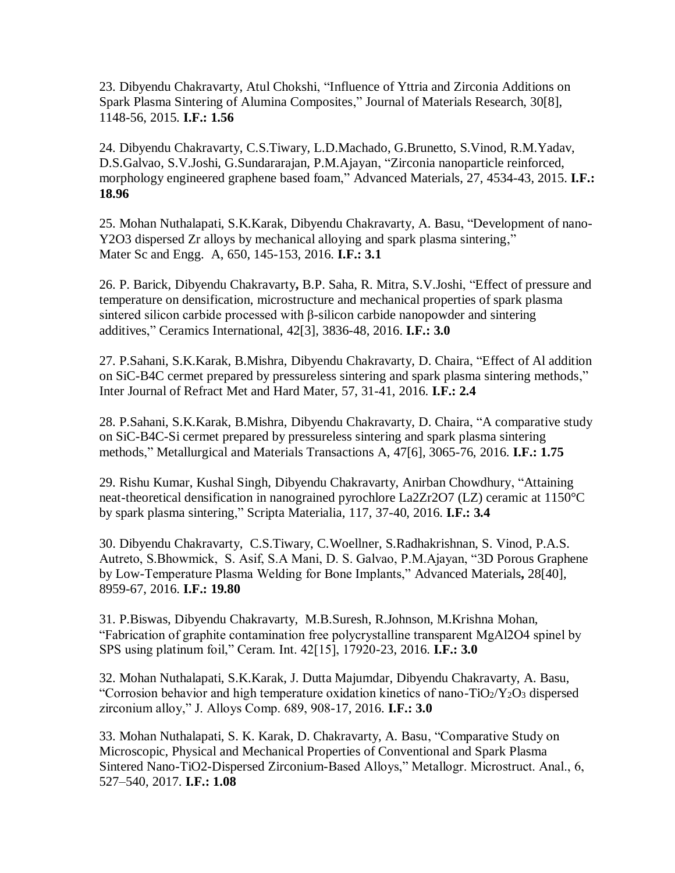23. Dibyendu Chakravarty, Atul Chokshi, "Influence of Yttria and Zirconia Additions on Spark Plasma Sintering of Alumina Composites," Journal of Materials Research, 30[8], 1148-56, 2015. **I.F.: 1.56**

24. Dibyendu Chakravarty, C.S.Tiwary, L.D.Machado, G.Brunetto, S.Vinod, R.M.Yadav, D.S.Galvao, S.V.Joshi, G.Sundararajan, P.M.Ajayan, "Zirconia nanoparticle reinforced, morphology engineered graphene based foam," Advanced Materials, 27, 4534-43, 2015. **I.F.: 18.96**

25. Mohan Nuthalapati, S.K.Karak, Dibyendu Chakravarty, A. Basu, "Development of nano-Y2O3 dispersed Zr alloys by mechanical alloying and spark plasma sintering," Mater Sc and Engg. A, 650, 145-153, 2016. **I.F.: 3.1**

26. P. Barick, Dibyendu Chakravarty**,** B.P. Saha, R. Mitra, S.V.Joshi, "Effect of pressure and temperature on densification, microstructure and mechanical properties of spark plasma sintered silicon carbide processed with β-silicon carbide nanopowder and sintering additives," Ceramics International, 42[3], 3836-48, 2016. **I.F.: 3.0**

27. P.Sahani, S.K.Karak, B.Mishra, Dibyendu Chakravarty, D. Chaira, "Effect of Al addition on SiC-B4C cermet prepared by pressureless sintering and spark plasma sintering methods," Inter Journal of Refract Met and Hard Mater, 57, 31-41, 2016. **I.F.: 2.4**

28. P.Sahani, S.K.Karak, B.Mishra, Dibyendu Chakravarty, D. Chaira, "A comparative study on SiC-B4C-Si cermet prepared by pressureless sintering and spark plasma sintering methods," Metallurgical and Materials Transactions A, 47[6], 3065-76, 2016. **I.F.: 1.75**

29. Rishu Kumar, Kushal Singh, Dibyendu Chakravarty, Anirban Chowdhury, "Attaining neat-theoretical densification in nanograined pyrochlore La2Zr2O7 (LZ) ceramic at 1150°C by spark plasma sintering," Scripta Materialia, 117, 37-40, 2016. **I.F.: 3.4**

30. Dibyendu Chakravarty, C.S.Tiwary, C.Woellner, S.Radhakrishnan, S. Vinod, P.A.S. Autreto, S.Bhowmick, S. Asif, S.A Mani, D. S. Galvao, P.M.Ajayan, "3D Porous Graphene by Low-Temperature Plasma Welding for Bone Implants," Advanced Materials**,** 28[40], 8959-67, 2016. **I.F.: 19.80**

31. P.Biswas, Dibyendu Chakravarty, M.B.Suresh, R.Johnson, M.Krishna Mohan, "Fabrication of graphite contamination free polycrystalline transparent MgAl2O4 spinel by SPS using platinum foil," Ceram. Int. 42[15], 17920-23, 2016. **I.F.: 3.0**

32. Mohan Nuthalapati, S.K.Karak, J. Dutta Majumdar, Dibyendu Chakravarty, A. Basu, "Corrosion behavior and high temperature oxidation kinetics of nano- $TiO<sub>2</sub>/Y<sub>2</sub>O<sub>3</sub>$  dispersed zirconium alloy," J. Alloys Comp. 689, 908-17, 2016. **I.F.: 3.0**

33. Mohan Nuthalapati, S. K. Karak, D. Chakravarty, A. Basu, "Comparative Study on Microscopic, Physical and Mechanical Properties of Conventional and Spark Plasma Sintered Nano-TiO2-Dispersed Zirconium-Based Alloys," Metallogr. Microstruct. Anal., 6, 527–540, 2017. **I.F.: 1.08**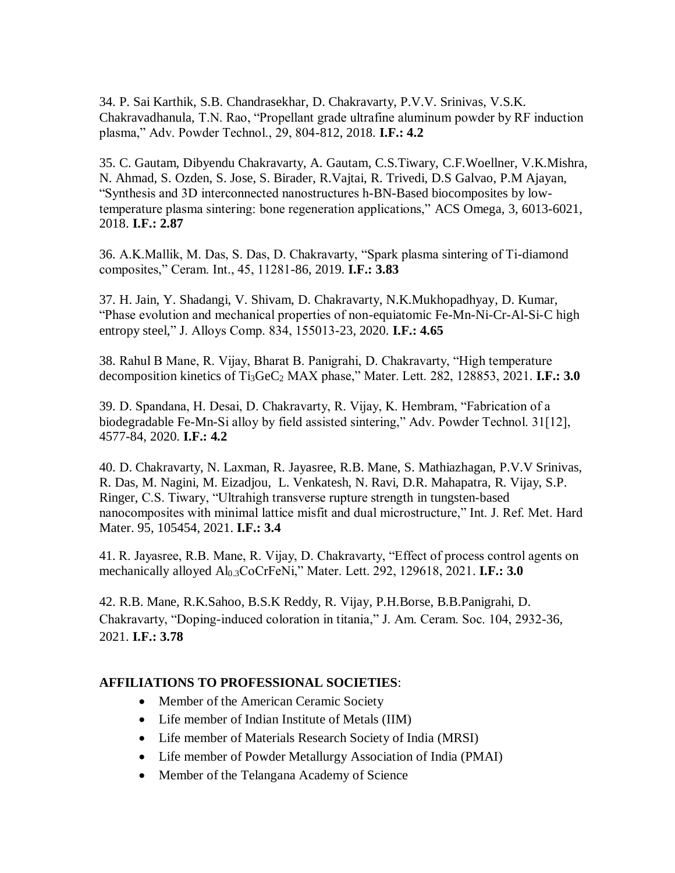34. P. Sai Karthik, S.B. Chandrasekhar, D. Chakravarty, P.V.V. Srinivas, V.S.K. Chakravadhanula, T.N. Rao, "Propellant grade ultrafine aluminum powder by RF induction plasma," Adv. Powder Technol., 29, 804-812, 2018. **I.F.: 4.2**

35. C. Gautam, Dibyendu Chakravarty, A. Gautam, C.S.Tiwary, C.F.Woellner, V.K.Mishra, N. Ahmad, S. Ozden, S. Jose, S. Birader, R.Vajtai, R. Trivedi, D.S Galvao, P.M Ajayan, "Synthesis and 3D interconnected nanostructures h-BN-Based biocomposites by lowtemperature plasma sintering: bone regeneration applications," ACS Omega, 3, 6013-6021, 2018. **I.F.: 2.87**

36. A.K.Mallik, M. Das, S. Das, D. Chakravarty, "Spark plasma sintering of Ti-diamond composites," Ceram. Int., 45, 11281-86, 2019. **I.F.: 3.83**

37. H. Jain, Y. Shadangi, V. Shivam, D. Chakravarty, N.K.Mukhopadhyay, D. Kumar, "Phase evolution and mechanical properties of non-equiatomic Fe-Mn-Ni-Cr-Al-Si-C high entropy steel," J. Alloys Comp. 834, 155013-23, 2020. **I.F.: 4.65**

38. Rahul B Mane, R. Vijay, Bharat B. Panigrahi, D. Chakravarty, "High temperature decomposition kinetics of Ti<sub>3</sub>GeC<sub>2</sub> MAX phase," Mater. Lett. 282, 128853, 2021. **I.F.: 3.0** 

39. D. Spandana, H. Desai, D. Chakravarty, R. Vijay, K. Hembram, "Fabrication of a biodegradable Fe-Mn-Si alloy by field assisted sintering," Adv. Powder Technol. 31[12], 4577-84, 2020. **I.F.: 4.2**

40. D. Chakravarty, N. Laxman, R. Jayasree, R.B. Mane, S. Mathiazhagan, P.V.V Srinivas, R. Das, M. Nagini, M. Eizadjou, L. Venkatesh, N. Ravi, D.R. Mahapatra, R. Vijay, S.P. Ringer, C.S. Tiwary, "Ultrahigh transverse rupture strength in tungsten-based nanocomposites with minimal lattice misfit and dual microstructure," Int. J. Ref. Met. Hard Mater. 95, 105454, 2021. **I.F.: 3.4**

41. R. Jayasree, R.B. Mane, R. Vijay, D. Chakravarty, "Effect of process control agents on mechanically alloyed Al0.3CoCrFeNi," Mater. Lett. 292, 129618, 2021. **I.F.: 3.0**

42. R.B. Mane, R.K.Sahoo, B.S.K Reddy, R. Vijay, P.H.Borse, B.B.Panigrahi, D. Chakravarty, "Doping-induced coloration in titania," J. Am. Ceram. Soc. 104, 2932-36, 2021. **I.F.: 3.78**

### **AFFILIATIONS TO PROFESSIONAL SOCIETIES**:

- Member of the American Ceramic Society
- Life member of Indian Institute of Metals (IIM)
- Life member of Materials Research Society of India (MRSI)
- Life member of Powder Metallurgy Association of India (PMAI)
- Member of the Telangana Academy of Science